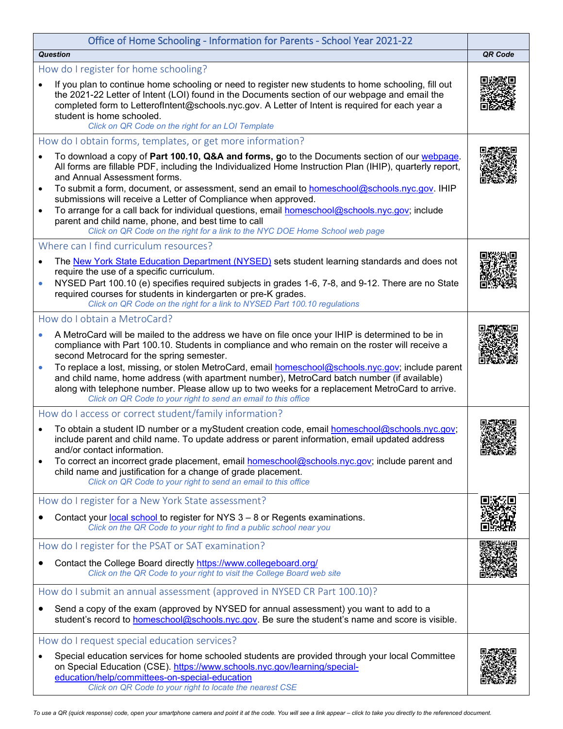| Office of Home Schooling - Information for Parents - School Year 2021-22                                                                                                                                                                                                                                                                                                                                                                                                                                                                                                                                                                                                       |         |
|--------------------------------------------------------------------------------------------------------------------------------------------------------------------------------------------------------------------------------------------------------------------------------------------------------------------------------------------------------------------------------------------------------------------------------------------------------------------------------------------------------------------------------------------------------------------------------------------------------------------------------------------------------------------------------|---------|
| <b>Question</b>                                                                                                                                                                                                                                                                                                                                                                                                                                                                                                                                                                                                                                                                | QR Code |
| How do I register for home schooling?<br>If you plan to continue home schooling or need to register new students to home schooling, fill out<br>the 2021-22 Letter of Intent (LOI) found in the Documents section of our webpage and email the<br>completed form to LetterofIntent@schools.nyc.gov. A Letter of Intent is required for each year a<br>student is home schooled.<br>Click on QR Code on the right for an LOI Template                                                                                                                                                                                                                                           |         |
| How do I obtain forms, templates, or get more information?                                                                                                                                                                                                                                                                                                                                                                                                                                                                                                                                                                                                                     |         |
| To download a copy of Part 100.10, Q&A and forms, go to the Documents section of our webpage.<br>All forms are fillable PDF, including the Individualized Home Instruction Plan (IHIP), quarterly report,<br>and Annual Assessment forms.<br>To submit a form, document, or assessment, send an email to homeschool@schools.nyc.gov. IHIP<br>$\bullet$<br>submissions will receive a Letter of Compliance when approved.<br>To arrange for a call back for individual questions, email homeschool@schools.nyc.gov; include<br>$\bullet$<br>parent and child name, phone, and best time to call<br>Click on QR Code on the right for a link to the NYC DOE Home School web page |         |
| Where can I find curriculum resources?                                                                                                                                                                                                                                                                                                                                                                                                                                                                                                                                                                                                                                         |         |
| The New York State Education Department (NYSED) sets student learning standards and does not<br>require the use of a specific curriculum.<br>NYSED Part 100.10 (e) specifies required subjects in grades 1-6, 7-8, and 9-12. There are no State<br>$\bullet$<br>required courses for students in kindergarten or pre-K grades.<br>Click on QR Code on the right for a link to NYSED Part 100.10 regulations                                                                                                                                                                                                                                                                    |         |
| How do I obtain a MetroCard?                                                                                                                                                                                                                                                                                                                                                                                                                                                                                                                                                                                                                                                   |         |
| A MetroCard will be mailed to the address we have on file once your IHIP is determined to be in<br>compliance with Part 100.10. Students in compliance and who remain on the roster will receive a<br>second Metrocard for the spring semester.<br>To replace a lost, missing, or stolen MetroCard, email homeschool@schools.nyc.gov; include parent<br>and child name, home address (with apartment number), MetroCard batch number (if available)<br>along with telephone number. Please allow up to two weeks for a replacement MetroCard to arrive.<br>Click on QR Code to your right to send an email to this office                                                      |         |
| How do I access or correct student/family information?                                                                                                                                                                                                                                                                                                                                                                                                                                                                                                                                                                                                                         |         |
| To obtain a student ID number or a myStudent creation code, email homeschool@schools.nyc.gov;<br>include parent and child name. To update address or parent information, email updated address<br>and/or contact information.<br>To correct an incorrect grade placement, email <b>homeschool@schools.nyc.gov</b> ; include parent and<br>child name and justification for a change of grade placement.<br>Click on QR Code to your right to send an email to this office                                                                                                                                                                                                      | öx.     |
| How do I register for a New York State assessment?                                                                                                                                                                                                                                                                                                                                                                                                                                                                                                                                                                                                                             |         |
| Contact your local school to register for NYS 3 - 8 or Regents examinations.<br>Click on the QR Code to your right to find a public school near you                                                                                                                                                                                                                                                                                                                                                                                                                                                                                                                            |         |
| How do I register for the PSAT or SAT examination?                                                                                                                                                                                                                                                                                                                                                                                                                                                                                                                                                                                                                             |         |
| Contact the College Board directly https://www.collegeboard.org/<br>Click on the QR Code to your right to visit the College Board web site                                                                                                                                                                                                                                                                                                                                                                                                                                                                                                                                     |         |
| How do I submit an annual assessment (approved in NYSED CR Part 100.10)?                                                                                                                                                                                                                                                                                                                                                                                                                                                                                                                                                                                                       |         |
| Send a copy of the exam (approved by NYSED for annual assessment) you want to add to a<br>student's record to homeschool@schools.nyc.gov. Be sure the student's name and score is visible.                                                                                                                                                                                                                                                                                                                                                                                                                                                                                     |         |
| How do I request special education services?<br>Special education services for home schooled students are provided through your local Committee                                                                                                                                                                                                                                                                                                                                                                                                                                                                                                                                |         |
| on Special Education (CSE). https://www.schools.nyc.gov/learning/special-<br>education/help/committees-on-special-education<br>Click on QR Code to your right to locate the nearest CSE                                                                                                                                                                                                                                                                                                                                                                                                                                                                                        |         |